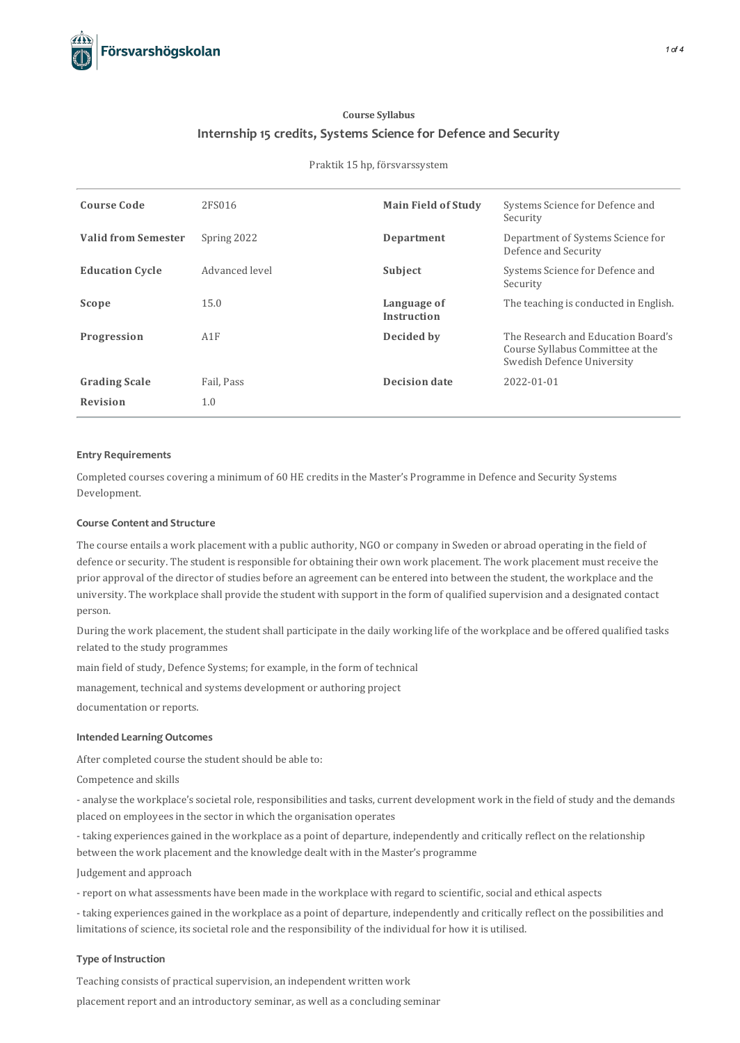

# **Course Syllabus Internship 15 credits, Systems Science for Defence and Security**

## Praktik 15 hp, försvarssystem

| <b>Course Code</b>         | 2FS016         | <b>Main Field of Study</b> | Systems Science for Defence and<br>Security                                                          |
|----------------------------|----------------|----------------------------|------------------------------------------------------------------------------------------------------|
| <b>Valid from Semester</b> | Spring 2022    | Department                 | Department of Systems Science for<br>Defence and Security                                            |
| <b>Education Cycle</b>     | Advanced level | Subject                    | Systems Science for Defence and<br>Security                                                          |
| Scope                      | 15.0           | Language of<br>Instruction | The teaching is conducted in English.                                                                |
| Progression                | A1F            | Decided by                 | The Research and Education Board's<br>Course Syllabus Committee at the<br>Swedish Defence University |
| <b>Grading Scale</b>       | Fail, Pass     | <b>Decision date</b>       | 2022-01-01                                                                                           |
| <b>Revision</b>            | 1.0            |                            |                                                                                                      |

#### **Entry Requirements**

Completed coursescovering a minimum of 60 HE creditsin the Master's Programme in Defence and Security Systems Development.

# **Course Contentand Structure**

The course entails a work placement with a public authority, NGO orcompany in Sweden or abroad operating in the field of defence or security. The student is responsible for obtaining their own work placement. The work placement must receive the prior approval of the director of studies before an agreement can be entered into between the student, the workplace and the university. The workplace shall provide the student with support in the form of qualified supervision and a designated contact person.

During the work placement, the student shall participate in the daily working life of the workplace and be offered qualified tasks related to the study programmes

main field of study, Defence Systems; for example, in the form of technical

management, technical and systems development or authoring project

documentation or reports.

## **Intended Learning Outcomes**

After completed course the student should be able to:

Competence and skills

- analyse the workplace's societal role, responsibilities and tasks, current development work in the field of study and the demands placed on employees in the sector in which the organisation operates

- taking experiences gained in the workplace as a point of departure, independently and critically reflect on the relationship between the work placement and the knowledge dealt with in the Master's programme

Judgement and approach

- report on what assessments have been made in the workplace with regard to scientific, social and ethical aspects

- taking experiences gained in the workplace as a point of departure, independently and critically reflect on the possibilities and limitations of science, itssocietal role and the responsibility of the individual for how it is utilised.

## **Type of Instruction**

Teaching consists of practical supervision, an independent written work placement report and an introductory seminar, as well as a concluding seminar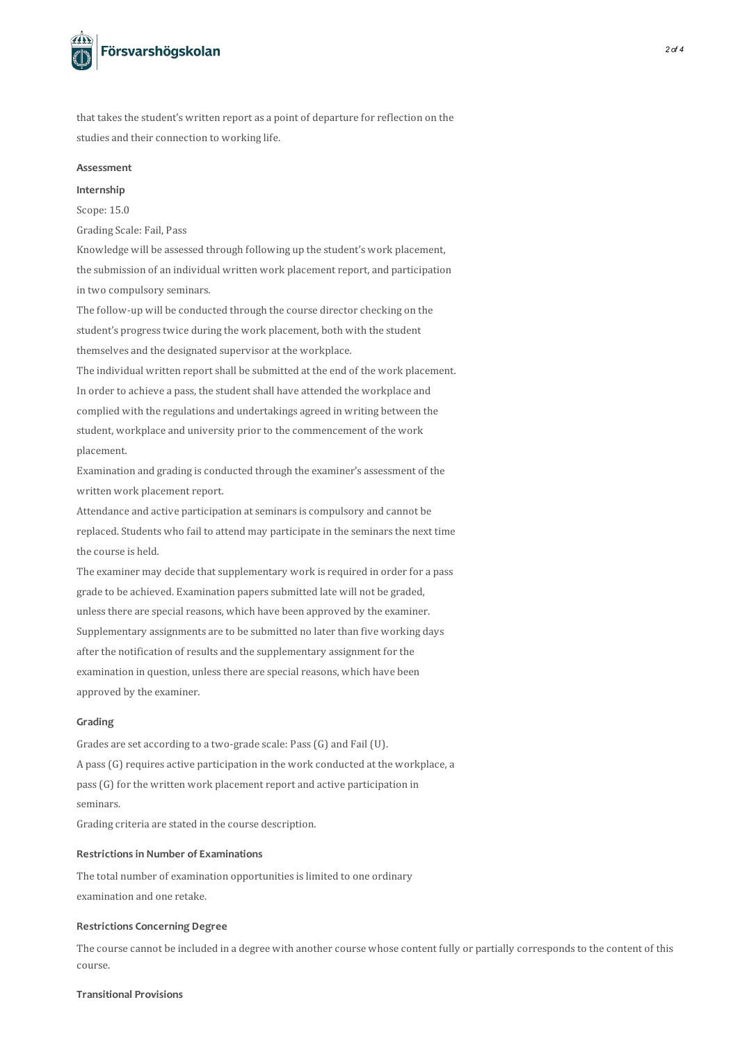

that takes the student's written report as a point of departure for reflection on the studies and their connection to working life.

#### **Assessment**

#### **Internship**

Scope: 15.0

Grading Scale: Fail, Pass

Knowledge will be assessed through following up the student's work placement, the submission of an individual written work placement report, and participation in two compulsory seminars.

The follow-up will be conducted through the course director checking on the student's progress twice during the work placement, both with the student themselves and the designated supervisor at the workplace.

The individual written report shall be submitted at the end of the work placement. In order to achieve a pass, the student shall have attended the workplace and complied with the regulations and undertakings agreed in writing between the student, workplace and university prior to the commencement of the work placement.

Examination and grading isconducted through the examiner's assessment of the written work placement report.

Attendance and active participation at seminars is compulsory and cannot be replaced. Students who fail to attend may participate in the seminars the next time the course is held.

The examiner may decide that supplementary work is required in order for a pass grade to be achieved. Examination paperssubmitted late will not be graded, unlessthere are special reasons, which have been approved by the examiner. Supplementary assignments are to be submitted no later than five working days after the notification of results and the supplementary assignment for the examination in question, unless there are special reasons, which have been approved by the examiner.

## **Grading**

Grades are set according to a two-grade scale: Pass(G) and Fail (U). A pass(G) requires active participation in the work conducted at the workplace, a pass(G) for the written work placement report and active participation in seminars.

Grading criteria are stated in the course description.

## **Restrictionsin Number of Examinations**

The total number of examination opportunities is limited to one ordinary examination and one retake.

# **Restrictions Concerning Degree**

The course cannot be included in a degree with another course whose content fully or partially corresponds to the content of this course.

## **Transitional Provisions**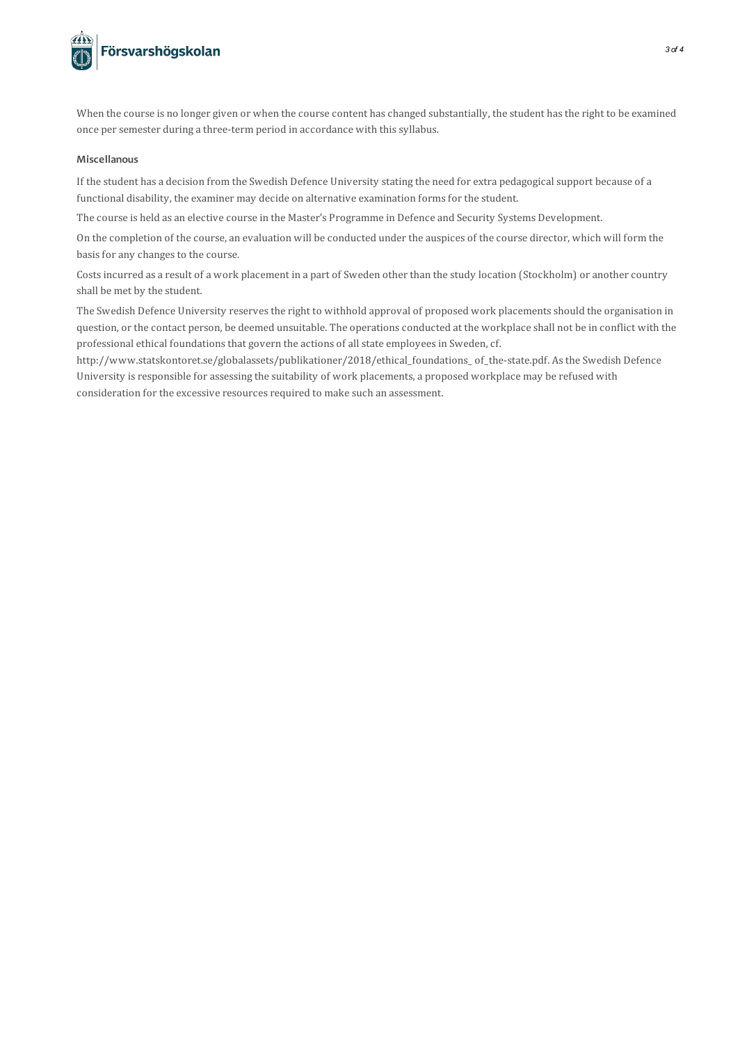

When the course is no longer given or when the course content has changed substantially, the student has the right to be examined once per semester during a three-term period in accordance with this syllabus.

## **Miscellanous**

If the student has a decision from the Swedish Defence University stating the need for extra pedagogicalsupport because of a functional disability, the examiner may decide on alternative examination forms for the student.

The course is held as an elective course in the Master's Programme in Defence and Security Systems Development.

On the completion of the course, an evaluation will be conducted under the auspices of the course director, which will form the basis for any changes to the course.

Costs incurred as a result of a work placement in a part of Sweden other than the study location (Stockholm) or another country shall be met by the student.

The Swedish Defence University reserves the right to withhold approval of proposed work placements should the organisation in question, or the contact person, be deemed unsuitable. The operations conducted at the workplace shall not be in conflict with the professional ethical foundations that govern the actions of all state employees in Sweden, cf.

http://www.statskontoret.se/globalassets/publikationer/2018/ethical\_foundations\_ of\_the-state.pdf. As the Swedish Defence University is responsible for assessing the suitability of work placements, a proposed workplace may be refused with consideration for the excessive resources required to make such an assessment.